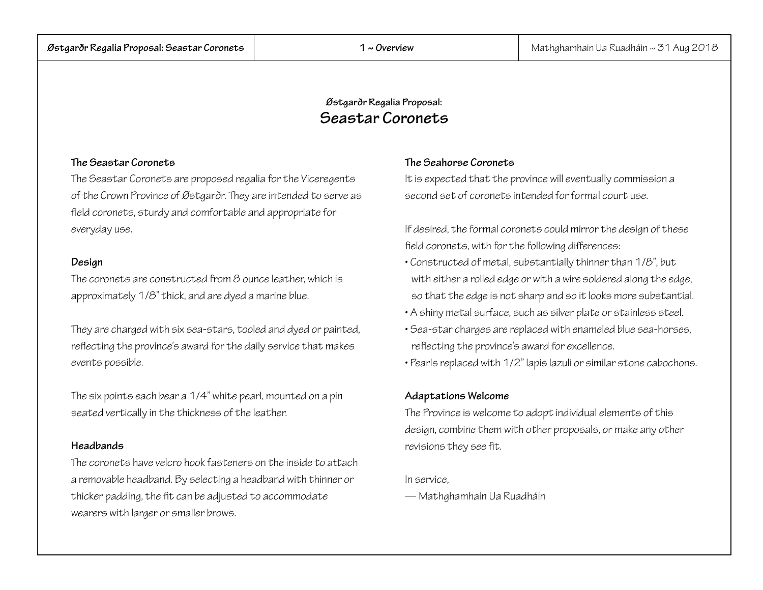# **Østgarðr Regalia Proposal: Seastar Coronets**

# **The Seastar Coronets**

The Seastar Coronets are proposed regalia for the Viceregents of the Crown Province of Østgarðr. They are intended to serve as field coronets, sturdy and comfortable and appropriate for everyday use.

# **Design**

The coronets are constructed from 8 ounce leather, which is approximately 1/8" thick, and are dyed a marine blue.

They are charged with six sea-stars, tooled and dyed or painted, reflecting the province's award for the daily service that makes events possible.

The six points each bear a 1/4" white pearl, mounted on a pin seated vertically in the thickness of the leather.

# **Headbands**

The coronets have velcro hook fasteners on the inside to attach a removable headband. By selecting a headband with thinner or thicker padding, the fit can be adjusted to accommodate wearers with larger or smaller brows.

# **The Seahorse Coronets**

It is expected that the province will eventually commission a second set of coronets intended for formal court use.

If desired, the formal coronets could mirror the design of these field coronets, with for the following differences:

- Constructed of metal, substantially thinner than 1/8", but with either a rolled edge or with a wire soldered along the edge, so that the edge is not sharp and so it looks more substantial.
- A shiny metal surface, such as silver plate or stainless steel.
- Sea-star charges are replaced with enameled blue sea-horses, reflecting the province's award for excellence.
- Pearls replaced with 1/2" lapis lazuli or similar stone cabochons.

# **Adaptations Welcome**

The Province is welcome to adopt individual elements of this design, combine them with other proposals, or make any other revisions they see fit.

## In service,

— Mathghamhain Ua Ruadháin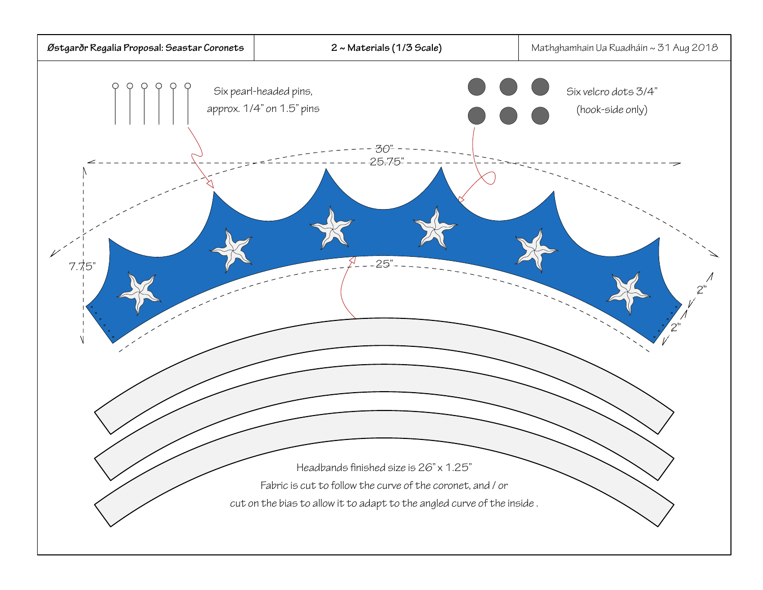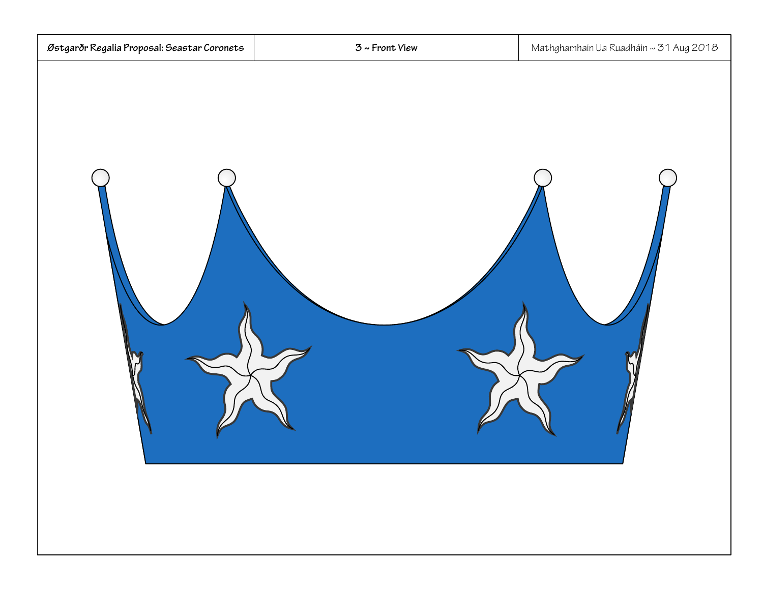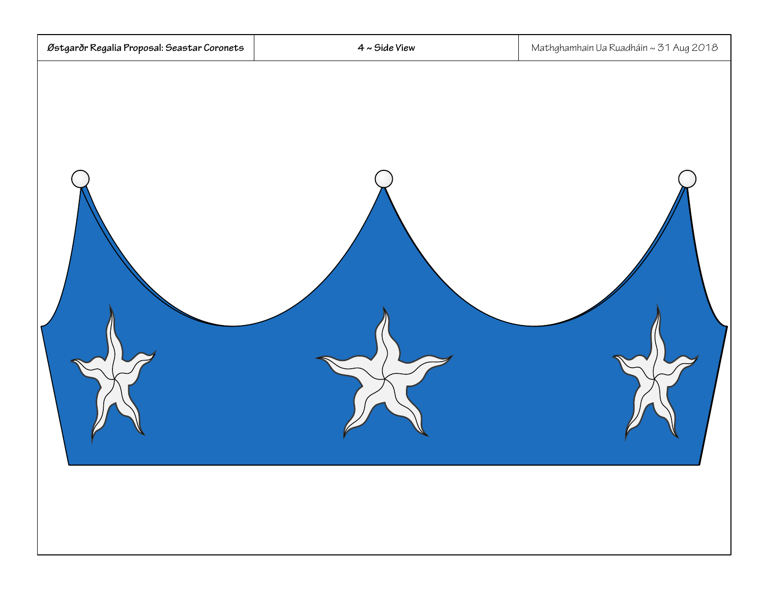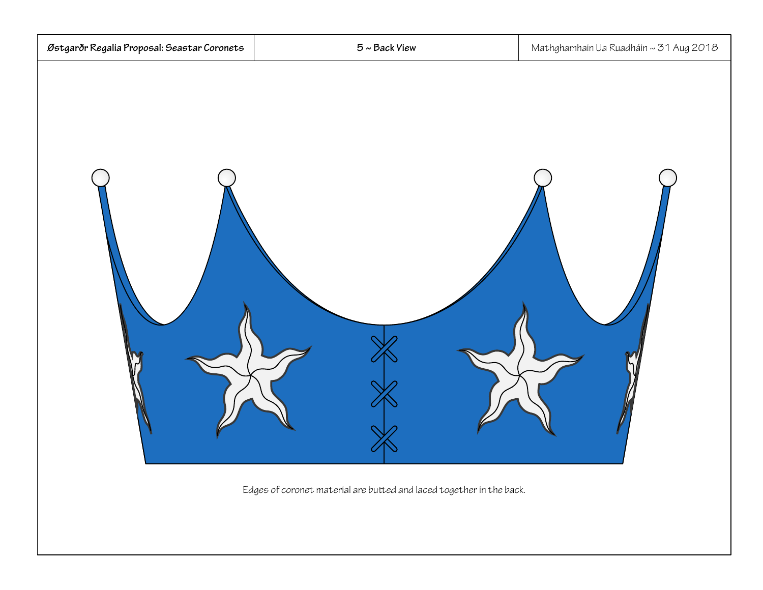

Edges of coronet material are buted and laced together in the back.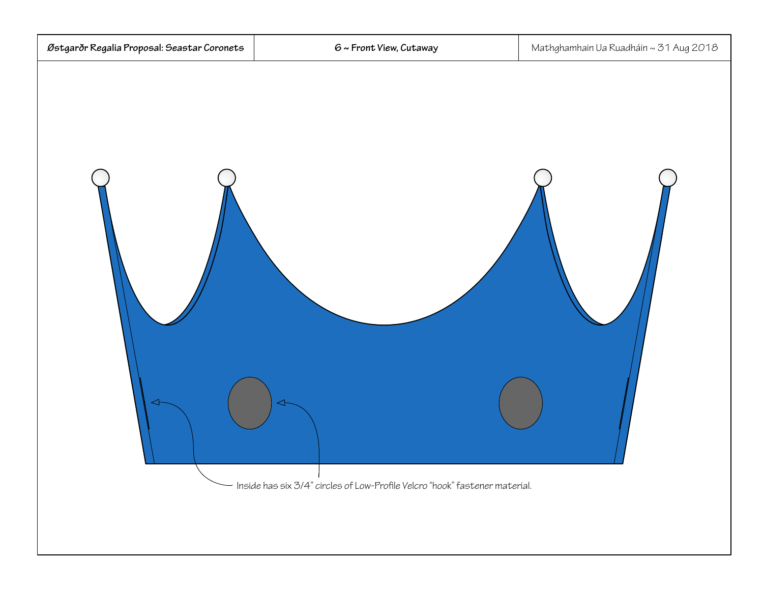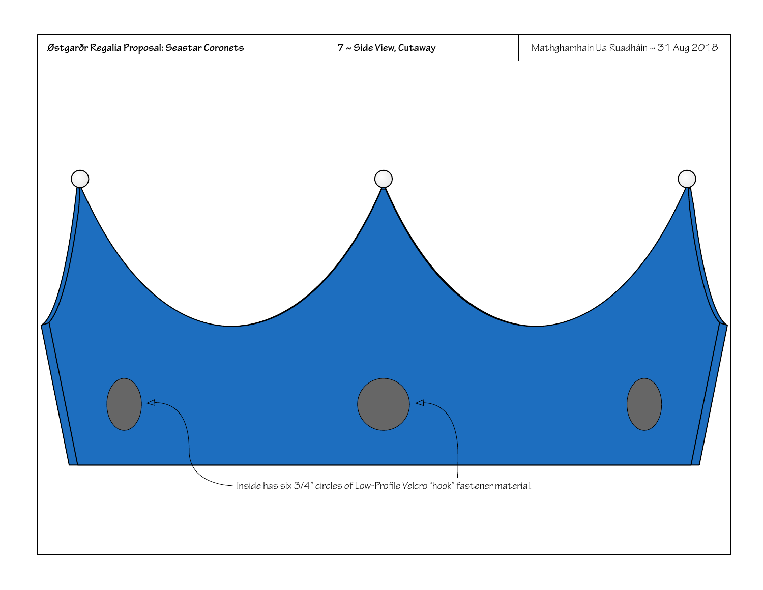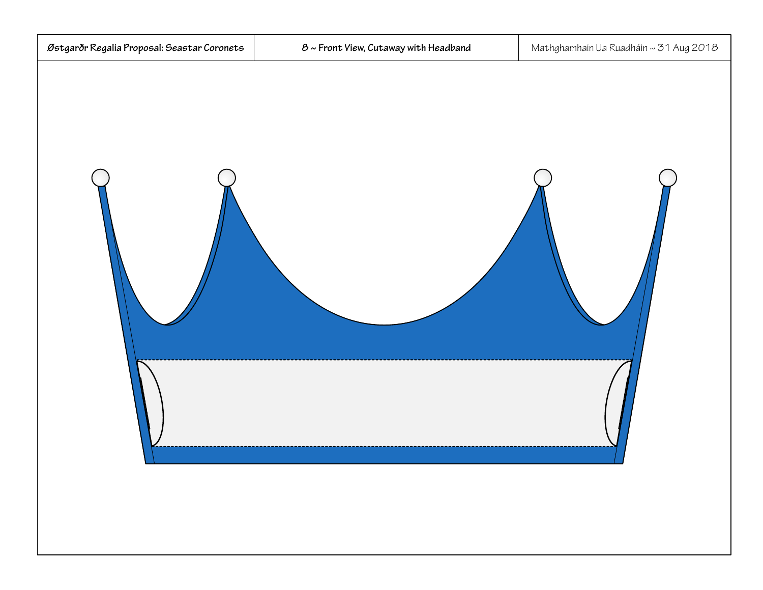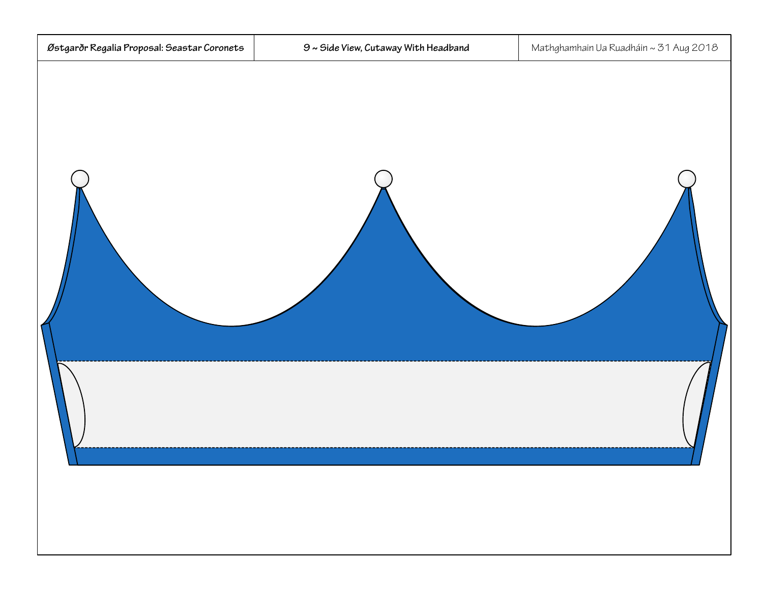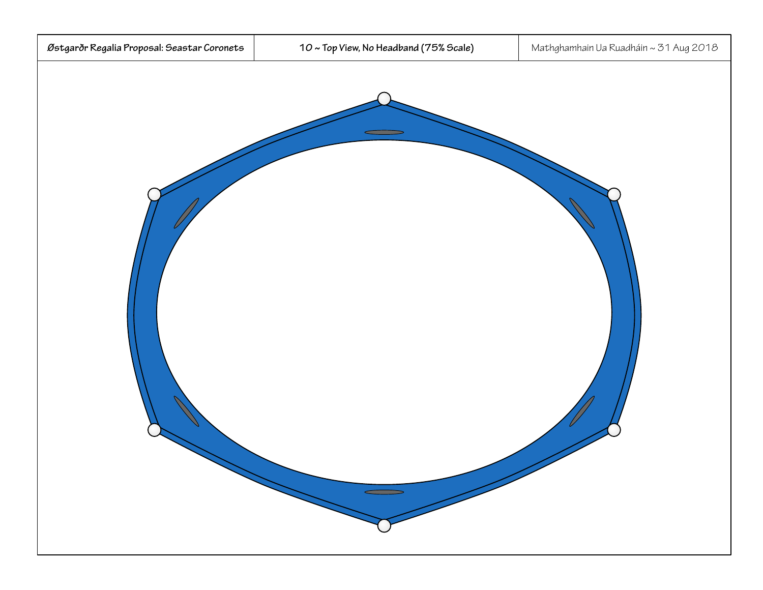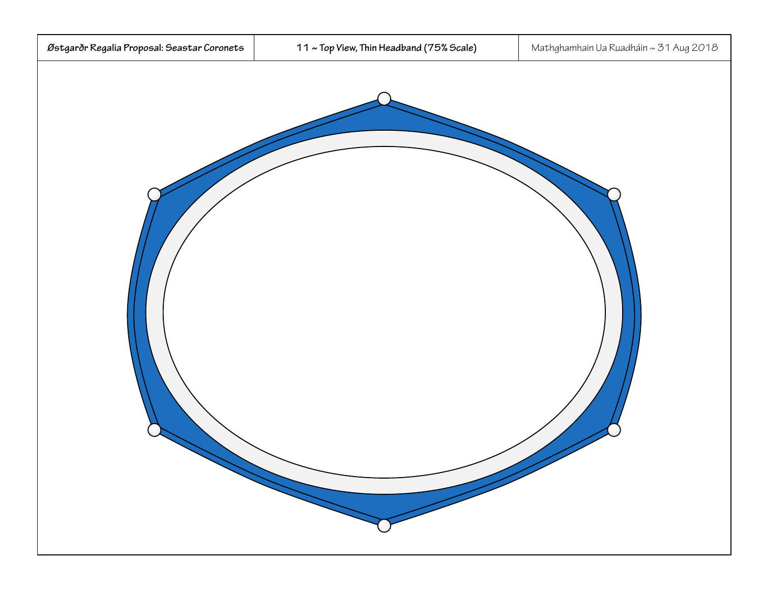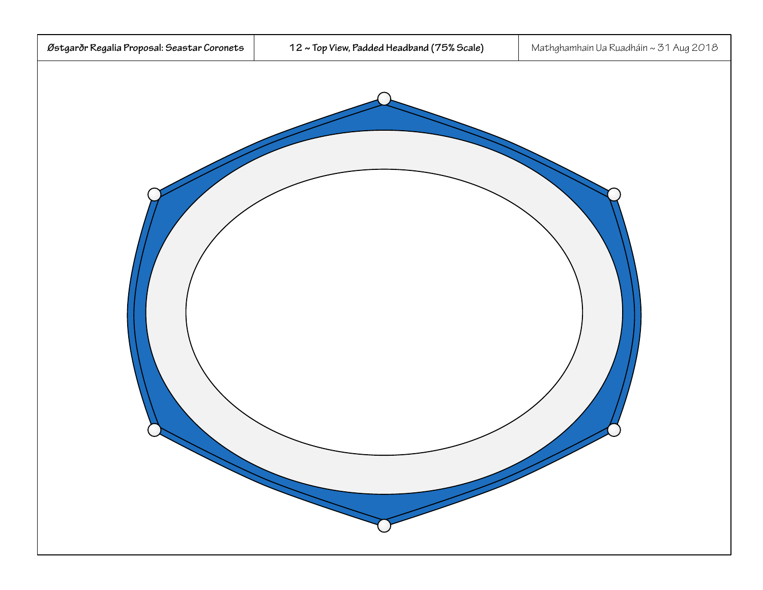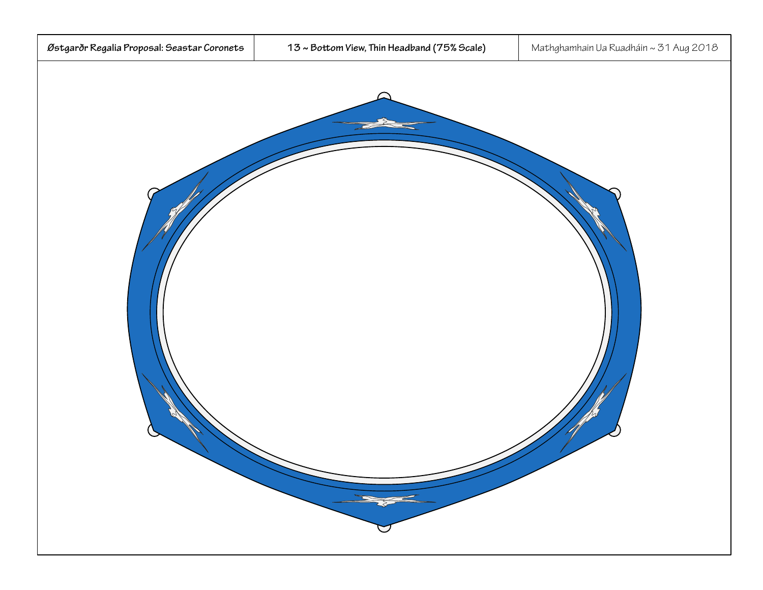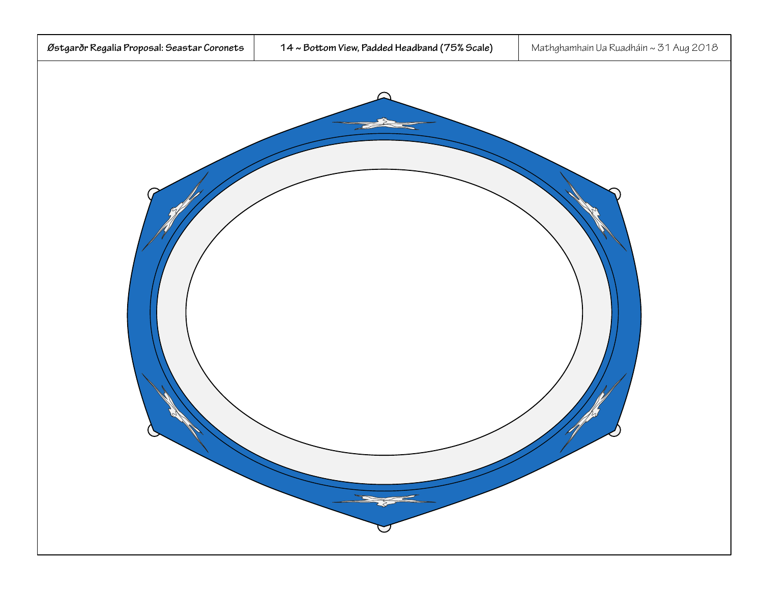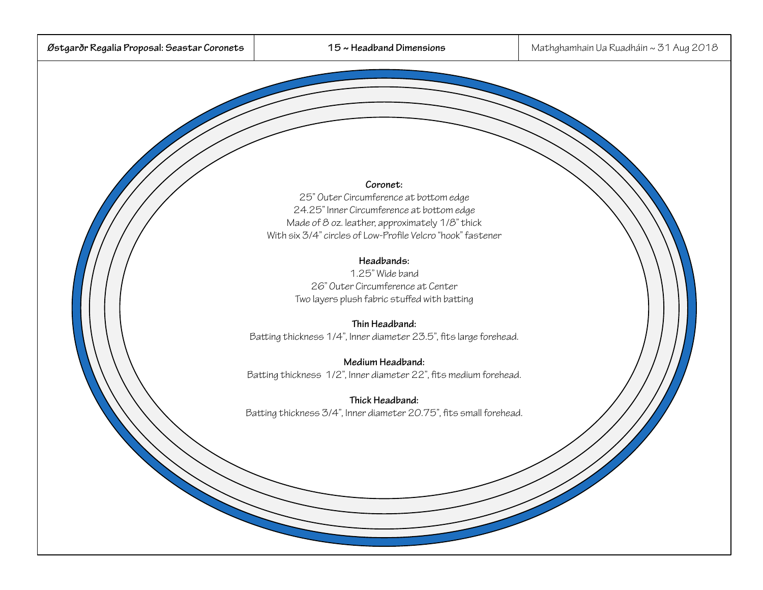#### **Coronet:**

25" Outer Circumference at botom edge 24.25" Inner Circumference at botom edge Made of 8 oz. leather, approximately 1/8" thick With six 3/4" circles of Low-Profile Velcro "hook" fastener

### **Headbands:**

1.25" Wide band26" Outer Circumference at CenterTwo layers plush fabric stuffed with bating

# **Thin Headband:**

Bating thickness 1/4", Inner diameter 23.5", fits large forehead.

**Medium Headband:**  Bating thickness 1/2", Inner diameter 22", fits medium forehead.

**Thick Headband:**  Bating thickness 3/4", Inner diameter 20.75", fits small forehead.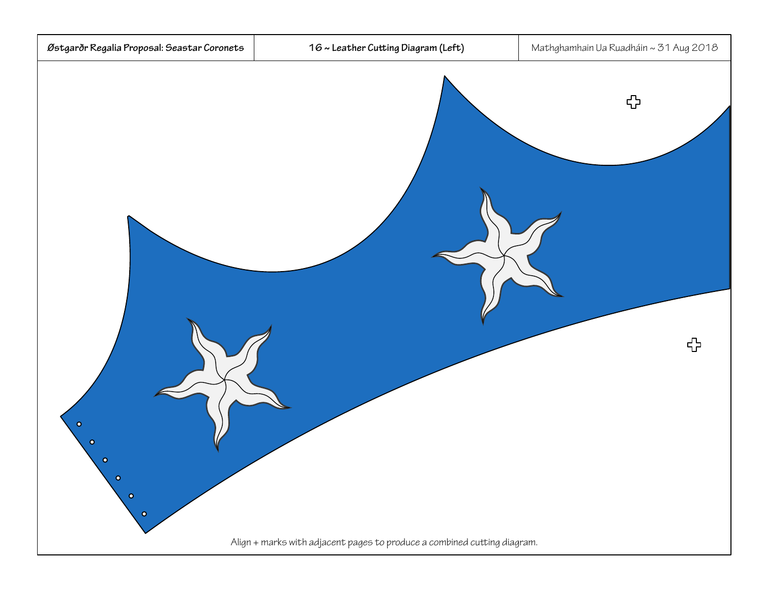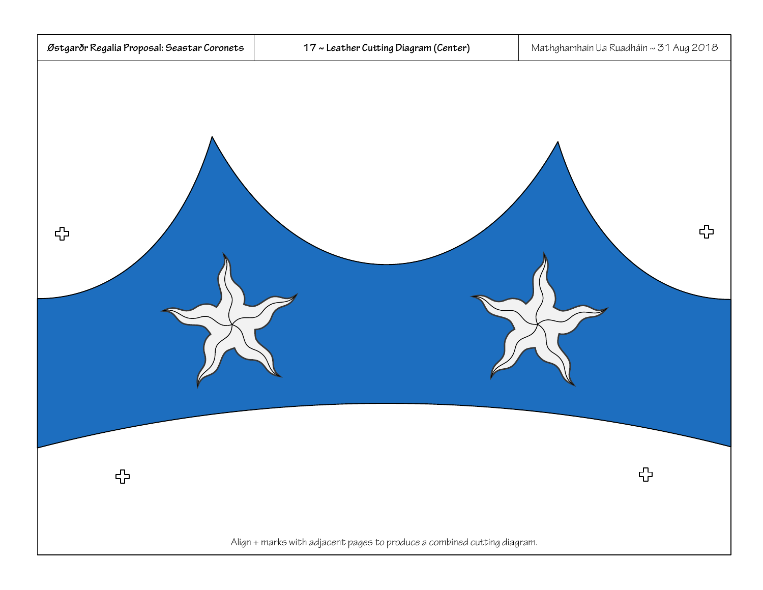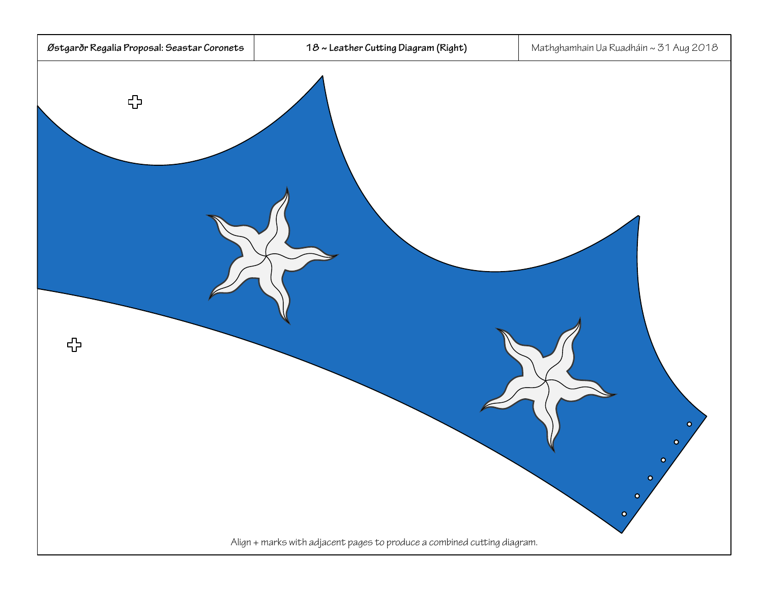